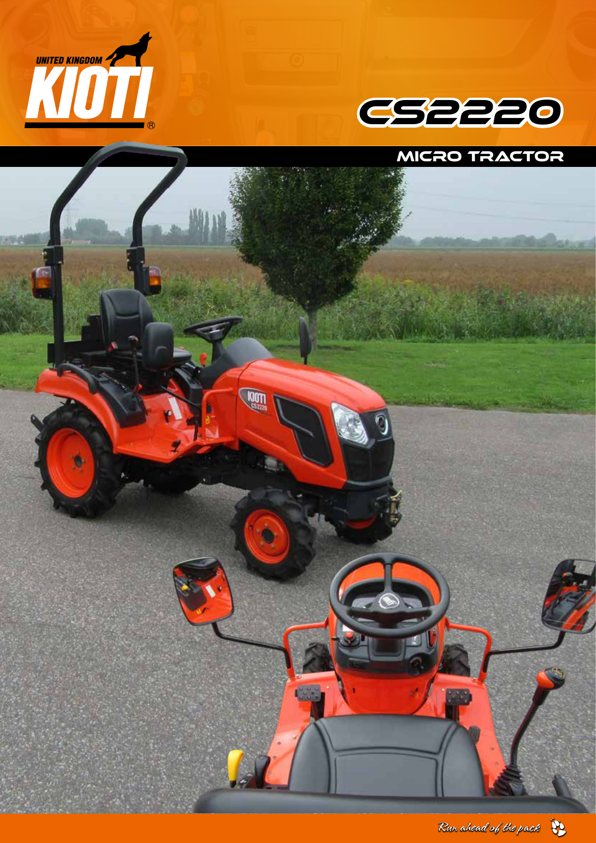